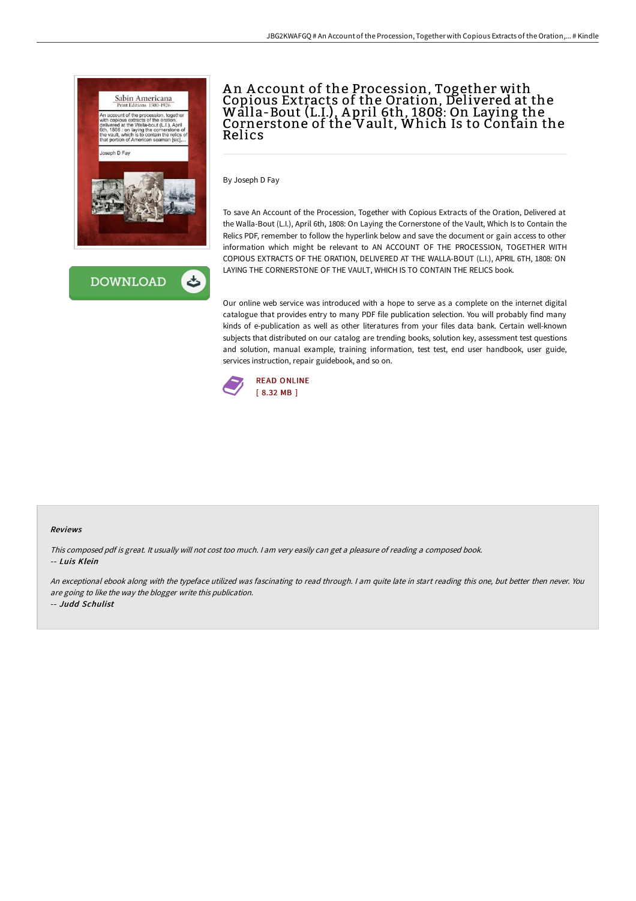



## An Account of the Procession, Together with Copious Extracts of the Oration, Delivered at the Walla-Bout (L.I.), A pril 6th, 1808: On Laying the Cornerstone of the Vault, Which Is to Contain the Relics

By Joseph D Fay

To save An Account of the Procession, Together with Copious Extracts of the Oration, Delivered at the Walla-Bout (L.I.), April 6th, 1808: On Laying the Cornerstone of the Vault, Which Is to Contain the Relics PDF, remember to follow the hyperlink below and save the document or gain access to other information which might be relevant to AN ACCOUNT OF THE PROCESSION, TOGETHER WITH COPIOUS EXTRACTS OF THE ORATION, DELIVERED AT THE WALLA-BOUT (L.I.), APRIL 6TH, 1808: ON LAYING THE CORNERSTONE OF THE VAULT, WHICH IS TO CONTAIN THE RELICS book.

Our online web service was introduced with a hope to serve as a complete on the internet digital catalogue that provides entry to many PDF file publication selection. You will probably find many kinds of e-publication as well as other literatures from your files data bank. Certain well-known subjects that distributed on our catalog are trending books, solution key, assessment test questions and solution, manual example, training information, test test, end user handbook, user guide, services instruction, repair guidebook, and so on.



## Reviews

This composed pdf is great. It usually will not cost too much. <sup>I</sup> am very easily can get <sup>a</sup> pleasure of reading <sup>a</sup> composed book. -- Luis Klein

An exceptional ebook along with the typeface utilized was fascinating to read through. <sup>I</sup> am quite late in start reading this one, but better then never. You are going to like the way the blogger write this publication.

-- Judd Schulist